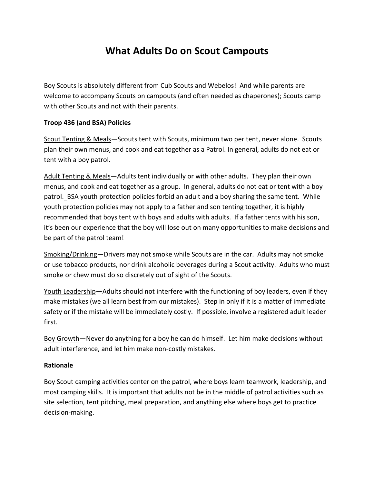## What Adults Do on Scout Campouts

Boy Scouts is absolutely different from Cub Scouts and Webelos! And while parents are welcome to accompany Scouts on campouts (and often needed as chaperones); Scouts camp with other Scouts and not with their parents.

## Troop 436 (and BSA) Policies

Scout Tenting & Meals—Scouts tent with Scouts, minimum two per tent, never alone. Scouts plan their own menus, and cook and eat together as a Patrol. In general, adults do not eat or tent with a boy patrol.

Adult Tenting & Meals—Adults tent individually or with other adults. They plan their own menus, and cook and eat together as a group. In general, adults do not eat or tent with a boy patrol. BSA youth protection policies forbid an adult and a boy sharing the same tent. While youth protection policies may not apply to a father and son tenting together, it is highly recommended that boys tent with boys and adults with adults. If a father tents with his son, it's been our experience that the boy will lose out on many opportunities to make decisions and be part of the patrol team!

Smoking/Drinking—Drivers may not smoke while Scouts are in the car. Adults may not smoke or use tobacco products, nor drink alcoholic beverages during a Scout activity. Adults who must smoke or chew must do so discretely out of sight of the Scouts.

Youth Leadership—Adults should not interfere with the functioning of boy leaders, even if they make mistakes (we all learn best from our mistakes). Step in only if it is a matter of immediate safety or if the mistake will be immediately costly. If possible, involve a registered adult leader first.

Boy Growth—Never do anything for a boy he can do himself. Let him make decisions without adult interference, and let him make non-costly mistakes.

## Rationale

Boy Scout camping activities center on the patrol, where boys learn teamwork, leadership, and most camping skills. It is important that adults not be in the middle of patrol activities such as site selection, tent pitching, meal preparation, and anything else where boys get to practice decision-making.